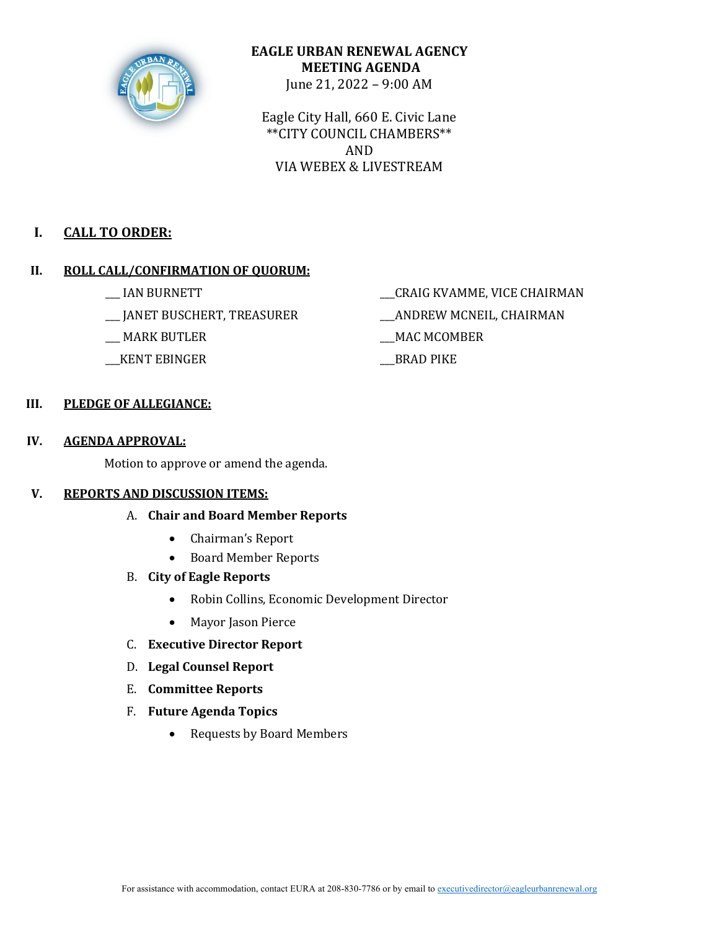

# **EAGLE URBAN RENEWAL AGENCY MEETING AGENDA** June 21, 2022 – 9:00 AM

Eagle City Hall, 660 E. Civic Lane \*\*CITY COUNCIL CHAMBERS\*\* AND VIA WEBEX & LIVESTREAM

# **I. CALL TO ORDER:**

# **II.** ROLL CALL/CONFIRMATION OF OUORUM:

- 
- \_\_\_ JANET BUSCHERT, TREASURER \_\_\_ANDREW MCNEIL, CHAIRMAN
- 
- \_\_\_KENT EBINGER \_\_\_BRAD PIKE
- \_\_\_ IAN BURNETT \_\_\_CRAIG KVAMME, VICE CHAIRMAN
	-
- \_\_\_ MARK BUTLER \_\_\_MAC MCOMBER
	-

# **III. PLEDGE OF ALLEGIANCE:**

# **IV. AGENDA APPROVAL:**

Motion to approve or amend the agenda.

## **V.** REPORTS AND DISCUSSION ITEMS:

- A. **Chair and Board Member Reports**
	- Chairman's Report
	- Board Member Reports
- B. **City of Eagle Reports**
	- Robin Collins, Economic Development Director
	- Mayor Jason Pierce
- C. **Executive Director Report**
- D. **Legal Counsel Report**
- E. **Committee Reports**
- F. **Future Agenda Topics**
	- Requests by Board Members